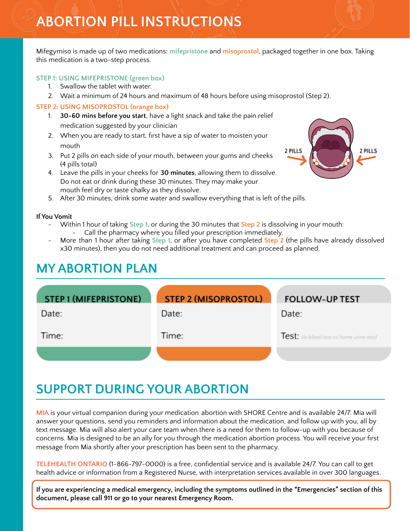Mifegymiso is made up of two medications: **mifepristone** and **misoprostol**, packaged together in one box. Taking this medication is a two-step process.

## **STEP 1: USING MIFEPRISTONE (green box)**

- 1. Swallow the tablet with water.
- 2. Wait a minimum of 24 hours and maximum of 48 hours before using misoprostol (Step 2).

## **STEP 2: USING MISOPROSTOL (orange box)**

- 1. **30-60 mins before you start**, have a light snack and take the pain relief medication suggested by your clinician
- 2. When you are ready to start, first have a sip of water to moisten your mouth
- 3. Put 2 pills on each side of your mouth, between your gums and cheeks (4 pills total)
- 4. Leave the pills in your cheeks for **30 minutes**, allowing them to dissolve. Do not eat or drink during these 30 minutes. They may make your mouth feel dry or taste chalky as they dissolve.
- 5. After 30 minutes, drink some water and swallow everything that is left of the pills.

### **If You Vomit**

- Within 1 hour of taking **Step 1**, or during the 30 minutes that **Step 2** is dissolving in your mouth: Call the pharmacy where you filled your prescription immediately.
- More than 1 hour after taking **Step 1**, or after you have completed **Step 2** (the pills have already dissolved x30 minutes), then you do not need additional treatment and can proceed as planned.

## **MY ABORTION PLAN**

| <b>STEP 1 (MIFEPRISTONE)</b> | <b>STEP 2 (MISOPROSTOL)</b> | <b>FOLLOW-UP TEST</b>                    |
|------------------------------|-----------------------------|------------------------------------------|
| Date:                        | Date:                       | Date:                                    |
| Time:                        | Time:                       | Test: (ie blood test vs home urine test) |
|                              |                             |                                          |

# **SUPPORT DURING YOUR ABORTION**

**MIA** is your virtual companion during your medication abortion with SHORE Centre and is available 24/7. Mia will answer your questions, send you reminders and information about the medication, and follow up with you, all by text message. Mia will also alert your care team when there is a need for them to follow-up with you because of concerns. Mia is designed to be an ally for you through the medication abortion process. You will receive your first message from Mia shortly after your prescription has been sent to the pharmacy.

**TELEHEALTH ONTARIO** (1-866-797-0000) is a free, confidential service and is available 24/7. You can call to get health advice or information from a Registered Nurse, with interpretation services available in over 300 languages.

**If you are experiencing a medical emergency, including the symptoms outlined in the "Emergencies" section of this document, please call 911 or go to your nearest Emergency Room.**

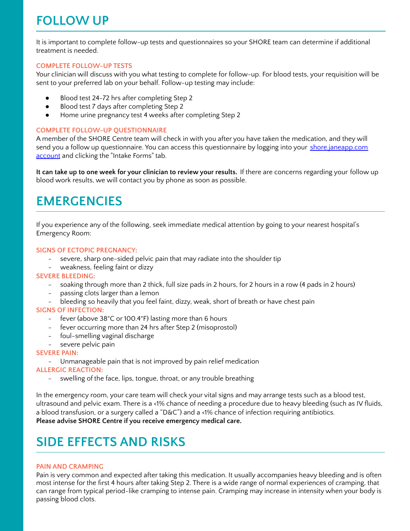# **FOLLOW UP**

It is important to complete follow-up tests and questionnaires so your SHORE team can determine if additional treatment is needed.

### **COMPLETE FOLLOW-UP TESTS**

Your clinician will discuss with you what testing to complete for follow-up. For blood tests, your requisition will be sent to your preferred lab on your behalf. Follow-up testing may include:

- Blood test 24-72 hrs after completing Step 2
- Blood test 7 days after completing Step 2
- Home urine pregnancy test 4 weeks after completing Step 2

### **COMPLETE FOLLOW-UP QUESTIONNAIRE**

A member of the SHORE Centre team will check in with you after you have taken the medication, and they will send you a follow up questionnaire. You can access this questionnaire by logging into your [shore.janeapp.com](https://shore.janeapp.com/account) [account](https://shore.janeapp.com/account) and clicking the "Intake Forms" tab.

**It can take up to one week for your clinician to review your results.** If there are concerns regarding your follow up blood work results, we will contact you by phone as soon as possible.

## **EMERGENCIES**

If you experience any of the following, seek immediate medical attention by going to your nearest hospital's Emergency Room:

### **SIGNS OF ECTOPIC PREGNANCY:**

- severe, sharp one-sided pelvic pain that may radiate into the shoulder tip
- weakness, feeling faint or dizzy

### **SEVERE BLEEDING:**

- soaking through more than 2 thick, full size pads in 2 hours, for 2 hours in a row (4 pads in 2 hours)
- passing clots larger than a lemon
- bleeding so heavily that you feel faint, dizzy, weak, short of breath or have chest pain

### **SIGNS OF INFECTION:**

- fever (above 38°C or 100.4°F) lasting more than 6 hours
- fever occurring more than 24 hrs after Step 2 (misoprostol)
- foul-smelling vaginal discharge
- severe pelvic pain

### **SEVERE PAIN:**

- Unmanageable pain that is not improved by pain relief medication

### **ALLERGIC REACTION:**

swelling of the face, lips, tongue, throat, or any trouble breathing

In the emergency room, your care team will check your vital signs and may arrange tests such as a blood test, ultrasound and pelvic exam. There is a <1% chance of needing a procedure due to heavy bleeding (such as IV fluids, a blood transfusion, or a surgery called a "D&C") and a <1% chance of infection requiring antibiotics. **Please advise SHORE Centre if you receive emergency medical care.**

# **SIDE EFFECTS AND RISKS**

### **PAIN AND CRAMPING**

Pain is very common and expected after taking this medication. It usually accompanies heavy bleeding and is often most intense for the first 4 hours after taking Step 2. There is a wide range of normal experiences of cramping, that can range from typical period-like cramping to intense pain. Cramping may increase in intensity when your body is passing blood clots.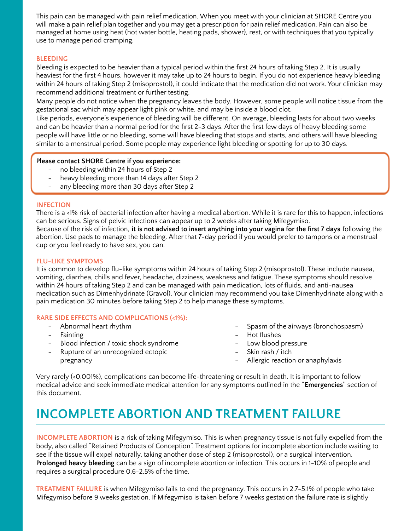This pain can be managed with pain relief medication. When you meet with your clinician at SHORE Centre you will make a pain relief plan together and you may get a prescription for pain relief medication. Pain can also be managed at home using heat (hot water bottle, heating pads, shower), rest, or with techniques that you typically use to manage period cramping.

### **BLEEDING**

Bleeding is expected to be heavier than a typical period within the first 24 hours of taking Step 2. It is usually heaviest for the first 4 hours, however it may take up to 24 hours to begin. If you do not experience heavy bleeding within 24 hours of taking Step 2 (misoprostol), it could indicate that the medication did not work. Your clinician may recommend additional treatment or further testing.

Many people do not notice when the pregnancy leaves the body. However, some people will notice tissue from the gestational sac which may appear light pink or white, and may be inside a blood clot.

Like periods, everyone's experience of bleeding will be different. On average, bleeding lasts for about two weeks and can be heavier than a normal period for the first 2-3 days. After the first few days of heavy bleeding some people will have little or no bleeding, some will have bleeding that stops and starts, and others will have bleeding similar to a menstrual period. Some people may experience light bleeding or spotting for up to 30 days.

### **Please contact SHORE Centre if you experience:**

- no bleeding within 24 hours of Step 2
- heavy bleeding more than 14 days after Step 2
- any bleeding more than 30 days after Step 2

#### **INFECTION**

There is a <1% risk of bacterial infection after having a medical abortion. While it is rare for this to happen, infections can be serious. Signs of pelvic infections can appear up to 2 weeks after taking Mifegymiso.

Because of the risk of infection, **it is not advised to insert anything into your vagina for the first 7 days** following the abortion. Use pads to manage the bleeding. After that 7-day period if you would prefer to tampons or a menstrual cup or you feel ready to have sex, you can.

#### **FLU-LIKE SYMPTOMS**

It is common to develop flu-like symptoms within 24 hours of taking Step 2 (misoprostol). These include nausea, vomiting, diarrhea, chills and fever, headache, dizziness, weakness and fatigue. These symptoms should resolve within 24 hours of taking Step 2 and can be managed with pain medication, lots of fluids, and anti-nausea medication such as Dimenhydrinate (Gravol). Your clinician may recommend you take Dimenhydrinate along with a pain medication 30 minutes before taking Step 2 to help manage these symptoms.

### **RARE SIDE EFFECTS AND COMPLICATIONS (<1%):**

- Abnormal heart rhythm
- Fainting
- Blood infection / toxic shock syndrome
- Rupture of an unrecognized ectopic pregnancy
- Spasm of the airways (bronchospasm)
- Hot flushes
- Low blood pressure
- Skin rash / itch
- Allergic reaction or anaphylaxis

Very rarely (<0.001%), complications can become life-threatening or result in death. It is important to follow medical advice and seek immediate medical attention for any symptoms outlined in the "**Emergencies**'' section of this document.

# **INCOMPLETE ABORTION AND TREATMENT FAILURE**

**INCOMPLETE ABORTION** is a risk of taking Mifegymiso. This is when pregnancy tissue is not fully expelled from the body, also called "Retained Products of Conception". Treatment options for incomplete abortion include waiting to see if the tissue will expel naturally, taking another dose of step 2 (misoprostol), or a surgical intervention. **Prolonged heavy bleeding** can be a sign of incomplete abortion or infection. This occurs in 1-10% of people and requires a surgical procedure 0.6-2.5% of the time.

**TREATMENT FAILURE** is when Mifegymiso fails to end the pregnancy. This occurs in 2.7-5.1% of people who take Mifegymiso before 9 weeks gestation. If Mifegymiso is taken before 7 weeks gestation the failure rate is slightly